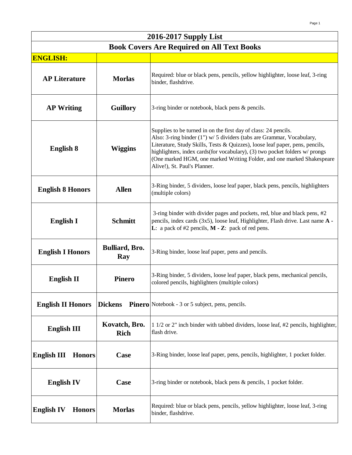| 2016-2017 Supply List                             |                               |                                                                                                                                                                                                                                                                                                                                                                                                                   |
|---------------------------------------------------|-------------------------------|-------------------------------------------------------------------------------------------------------------------------------------------------------------------------------------------------------------------------------------------------------------------------------------------------------------------------------------------------------------------------------------------------------------------|
| <b>Book Covers Are Required on All Text Books</b> |                               |                                                                                                                                                                                                                                                                                                                                                                                                                   |
| <b>ENGLISH:</b>                                   |                               |                                                                                                                                                                                                                                                                                                                                                                                                                   |
| <b>AP Literature</b>                              | <b>Morlas</b>                 | Required: blue or black pens, pencils, yellow highlighter, loose leaf, 3-ring<br>binder, flashdrive.                                                                                                                                                                                                                                                                                                              |
| <b>AP Writing</b>                                 | <b>Guillory</b>               | 3-ring binder or notebook, black pens & pencils.                                                                                                                                                                                                                                                                                                                                                                  |
| <b>English 8</b>                                  | <b>Wiggins</b>                | Supplies to be turned in on the first day of class: 24 pencils.<br>Also: 3-ring binder (1") w/ 5 dividers (tabs are Grammar, Vocabulary,<br>Literature, Study Skills, Tests & Quizzes), loose leaf paper, pens, pencils,<br>highlighters, index cards(for vocabulary), (3) two pocket folders w/ prongs<br>(One marked HGM, one marked Writing Folder, and one marked Shakespeare<br>Alive!), St. Paul's Planner. |
| <b>English 8 Honors</b>                           | <b>Allen</b>                  | 3-Ring binder, 5 dividers, loose leaf paper, black pens, pencils, highlighters<br>(multiple colors)                                                                                                                                                                                                                                                                                                               |
| English I                                         | <b>Schmitt</b>                | 3-ring binder with divider pages and pockets, red, blue and black pens, #2<br>pencils, index cards (3x5), loose leaf, Highlighter, Flash drive. Last name A -<br><b>L</b> : a pack of #2 pencils, $M - Z$ : pack of red pens.                                                                                                                                                                                     |
| <b>English I Honors</b>                           | <b>Bulliard</b> , Bro.<br>Ray | 3-Ring binder, loose leaf paper, pens and pencils.                                                                                                                                                                                                                                                                                                                                                                |
| <b>English II</b>                                 | <b>Pinero</b>                 | 3-Ring binder, 5 dividers, loose leaf paper, black pens, mechanical pencils,<br>colored pencils, highlighters (multiple colors)                                                                                                                                                                                                                                                                                   |
| <b>English II Honors</b>                          | <b>Dickens</b>                | <b>Pinero</b> Notebook - 3 or 5 subject, pens, pencils.                                                                                                                                                                                                                                                                                                                                                           |
| <b>English III</b>                                | Kovatch, Bro.<br><b>Rich</b>  | 1 1/2 or 2" inch binder with tabbed dividers, loose leaf, #2 pencils, highlighter,<br>flash drive.                                                                                                                                                                                                                                                                                                                |
| <b>English III</b><br><b>Honors</b>               | Case                          | 3-Ring binder, loose leaf paper, pens, pencils, highlighter, 1 pocket folder.                                                                                                                                                                                                                                                                                                                                     |
| <b>English IV</b>                                 | Case                          | 3-ring binder or notebook, black pens & pencils, 1 pocket folder.                                                                                                                                                                                                                                                                                                                                                 |
| <b>English IV</b><br><b>Honors</b>                | <b>Morlas</b>                 | Required: blue or black pens, pencils, yellow highlighter, loose leaf, 3-ring<br>binder, flashdrive.                                                                                                                                                                                                                                                                                                              |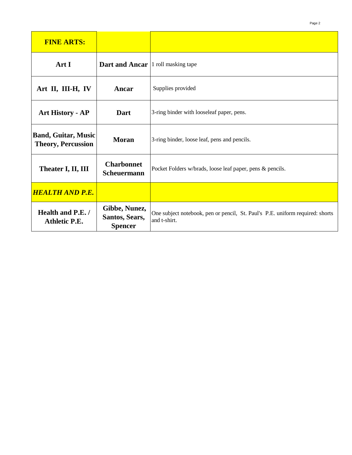| <b>FINE ARTS:</b>                                       |                                                   |                                                                                               |
|---------------------------------------------------------|---------------------------------------------------|-----------------------------------------------------------------------------------------------|
| Art I                                                   | <b>Dart and Ancar</b>  1 roll masking tape        |                                                                                               |
| Art II, III-H, IV                                       | Ancar                                             | Supplies provided                                                                             |
| <b>Art History - AP</b>                                 | Dart                                              | 3-ring binder with looseleaf paper, pens.                                                     |
| <b>Band, Guitar, Music</b><br><b>Theory, Percussion</b> | <b>Moran</b>                                      | 3-ring binder, loose leaf, pens and pencils.                                                  |
| Theater I, II, III                                      | <b>Charbonnet</b><br><b>Scheuermann</b>           | Pocket Folders w/brads, loose leaf paper, pens & pencils.                                     |
| <b>HEALTH AND P.E.</b>                                  |                                                   |                                                                                               |
| Health and P.E./<br><b>Athletic P.E.</b>                | Gibbe, Nunez,<br>Santos, Sears,<br><b>Spencer</b> | One subject notebook, pen or pencil, St. Paul's P.E. uniform required: shorts<br>and t-shirt. |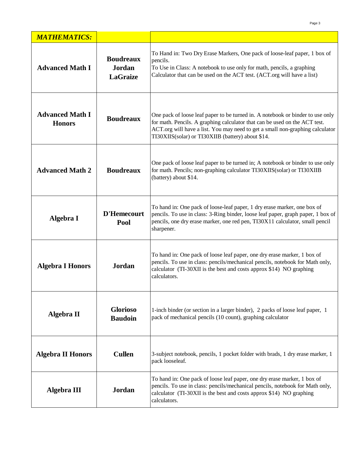| <b>MATHEMATICS:</b>                     |                                               |                                                                                                                                                                                                                                                                                                    |
|-----------------------------------------|-----------------------------------------------|----------------------------------------------------------------------------------------------------------------------------------------------------------------------------------------------------------------------------------------------------------------------------------------------------|
| <b>Advanced Math I</b>                  | <b>Boudreaux</b><br>Jordan<br><b>LaGraize</b> | To Hand in: Two Dry Erase Markers, One pack of loose-leaf paper, 1 box of<br>pencils.<br>To Use in Class: A notebook to use only for math, pencils, a graphing<br>Calculator that can be used on the ACT test. (ACT.org will have a list)                                                          |
| <b>Advanced Math I</b><br><b>Honors</b> | <b>Boudreaux</b>                              | One pack of loose leaf paper to be turned in. A notebook or binder to use only<br>for math. Pencils. A graphing calculator that can be used on the ACT test.<br>ACT.org will have a list. You may need to get a small non-graphing calculator<br>TI30XIIS(solar) or TI30XIIB (battery) about \$14. |
| <b>Advanced Math 2</b>                  | <b>Boudreaux</b>                              | One pack of loose leaf paper to be turned in; A notebook or binder to use only<br>for math. Pencils; non-graphing calculator TI30XIIS(solar) or TI30XIIB<br>(battery) about \$14.                                                                                                                  |
| Algebra I                               | <b>D'Hemecourt</b><br>Pool                    | To hand in: One pack of loose-leaf paper, 1 dry erase marker, one box of<br>pencils. To use in class: 3-Ring binder, loose leaf paper, graph paper, 1 box of<br>pencils, one dry erase marker, one red pen, TI30X11 calculator, small pencil<br>sharpener.                                         |
| <b>Algebra I Honors</b>                 | <b>Jordan</b>                                 | To hand in: One pack of loose leaf paper, one dry erase marker, 1 box of<br>pencils. To use in class: pencils/mechanical pencils, notebook for Math only,<br>calculator (TI-30XII is the best and costs approx \$14) NO graphing<br>calculators.                                                   |
| Algebra II                              | <b>Glorioso</b><br><b>Baudoin</b>             | 1-inch binder (or section in a larger binder), 2 packs of loose leaf paper, 1<br>pack of mechanical pencils (10 count), graphing calculator                                                                                                                                                        |
| <b>Algebra II Honors</b>                | <b>Cullen</b>                                 | 3-subject notebook, pencils, 1 pocket folder with brads, 1 dry erase marker, 1<br>pack looseleaf.                                                                                                                                                                                                  |
| <b>Algebra III</b>                      | <b>Jordan</b>                                 | To hand in: One pack of loose leaf paper, one dry erase marker, 1 box of<br>pencils. To use in class: pencils/mechanical pencils, notebook for Math only,<br>calculator (TI-30XII is the best and costs approx \$14) NO graphing<br>calculators.                                                   |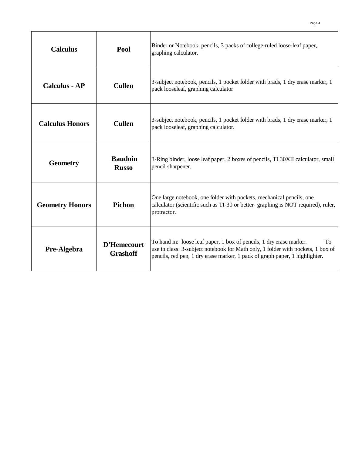| <b>Calculus</b>        | Pool                           | Binder or Notebook, pencils, 3 packs of college-ruled loose-leaf paper,<br>graphing calculator.                                                                                                                                             |
|------------------------|--------------------------------|---------------------------------------------------------------------------------------------------------------------------------------------------------------------------------------------------------------------------------------------|
| <b>Calculus - AP</b>   | <b>Cullen</b>                  | 3-subject notebook, pencils, 1 pocket folder with brads, 1 dry erase marker, 1<br>pack looseleaf, graphing calculator                                                                                                                       |
| <b>Calculus Honors</b> | <b>Cullen</b>                  | 3-subject notebook, pencils, 1 pocket folder with brads, 1 dry erase marker, 1<br>pack looseleaf, graphing calculator.                                                                                                                      |
| <b>Geometry</b>        | <b>Baudoin</b><br><b>Russo</b> | 3-Ring binder, loose leaf paper, 2 boxes of pencils, TI 30XII calculator, small<br>pencil sharpener.                                                                                                                                        |
| <b>Geometry Honors</b> | Pichon                         | One large notebook, one folder with pockets, mechanical pencils, one<br>calculator (scientific such as TI-30 or better- graphing is NOT required), ruler,<br>protractor.                                                                    |
| Pre-Algebra            | D'Hemecourt<br><b>Grashoff</b> | To hand in: loose leaf paper, 1 box of pencils, 1 dry erase marker.<br>To<br>use in class: 3-subject notebook for Math only, 1 folder with pockets, 1 box of<br>pencils, red pen, 1 dry erase marker, 1 pack of graph paper, 1 highlighter. |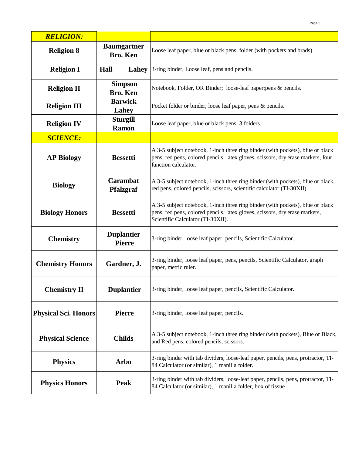| <b>RELIGION:</b>            |                                       |                                                                                                                                                                                                    |
|-----------------------------|---------------------------------------|----------------------------------------------------------------------------------------------------------------------------------------------------------------------------------------------------|
| <b>Religion 8</b>           | <b>Baumgartner</b><br><b>Bro. Ken</b> | Loose leaf paper, blue or black pens, folder (with pockets and brads)                                                                                                                              |
| <b>Religion I</b>           | Hall                                  | <b>Lahey</b> 3-ring binder, Loose leaf, pens and pencils.                                                                                                                                          |
| <b>Religion II</b>          | <b>Simpson</b><br><b>Bro. Ken</b>     | Notebook, Folder, OR Binder; loose-leaf paper; pens & pencils.                                                                                                                                     |
| <b>Religion III</b>         | <b>Barwick</b><br>Lahey               | Pocket folder or binder, loose leaf paper, pens & pencils.                                                                                                                                         |
| <b>Religion IV</b>          | <b>Sturgill</b><br><b>Ramon</b>       | Loose leaf paper, blue or black pens, 3 folders.                                                                                                                                                   |
| <b>SCIENCE:</b>             |                                       |                                                                                                                                                                                                    |
| <b>AP Biology</b>           | <b>Bessetti</b>                       | A 3-5 subject notebook, 1-inch three ring binder (with pockets), blue or black<br>pens, red pens, colored pencils, latex gloves, scissors, dry erase markers, four<br>function calculator.         |
| <b>Biology</b>              | <b>Carambat</b><br><b>Pfalzgraf</b>   | A 3-5 subject notebook, 1-inch three ring binder (with pockets), blue or black,<br>red pens, colored pencils, scissors, scientific calculator (TI-30XII)                                           |
| <b>Biology Honors</b>       | <b>Bessetti</b>                       | A 3-5 subject notebook, 1-inch three ring binder (with pockets), blue or black<br>pens, red pens, colored pencils, latex gloves, scissors, dry erase markers,<br>Scientific Calculator (TI-30XII). |
| <b>Chemistry</b>            | <b>Duplantier</b><br><b>Pierre</b>    | 3-ring binder, loose leaf paper, pencils, Scientific Calculator.                                                                                                                                   |
| <b>Chemistry Honors</b>     | Gardner, J.                           | 3-ring binder, loose leaf paper, pens, pencils, Scientific Calculator, graph<br>paper, metric ruler.                                                                                               |
| <b>Chemistry II</b>         | <b>Duplantier</b>                     | 3-ring binder, loose leaf paper, pencils, Scientific Calculator.                                                                                                                                   |
| <b>Physical Sci. Honors</b> | <b>Pierre</b>                         | 3-ring binder, loose leaf paper, pencils.                                                                                                                                                          |
| <b>Physical Science</b>     | <b>Childs</b>                         | A 3-5 subject notebook, 1-inch three ring binder (with pockets), Blue or Black,<br>and Red pens, colored pencils, scissors.                                                                        |
| <b>Physics</b>              | Arbo                                  | 3-ring binder with tab dividers, loose-leaf paper, pencils, pens, protractor, TI-<br>84 Calculator (or similar), 1 manilla folder.                                                                 |
| <b>Physics Honors</b>       | <b>Peak</b>                           | 3-ring binder with tab dividers, loose-leaf paper, pencils, pens, protractor, TI-<br>84 Calculator (or similar), 1 manilla folder, box of tissue                                                   |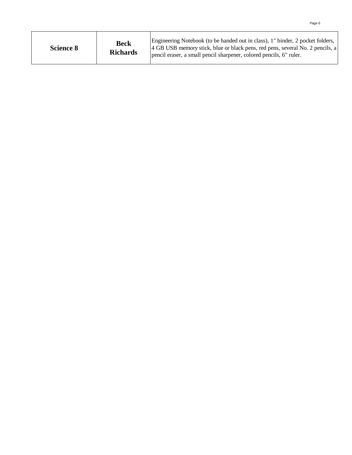| <b>Science 8</b> | <b>Beck</b><br><b>Richards</b> | Engineering Notebook (to be handed out in class), 1" binder, 2 pocket folders,<br>4 GB USB memory stick, blue or black pens, red pens, several No. 2 pencils, a<br>pencil eraser, a small pencil sharpener, colored pencils, 6" ruler. |
|------------------|--------------------------------|----------------------------------------------------------------------------------------------------------------------------------------------------------------------------------------------------------------------------------------|
|------------------|--------------------------------|----------------------------------------------------------------------------------------------------------------------------------------------------------------------------------------------------------------------------------------|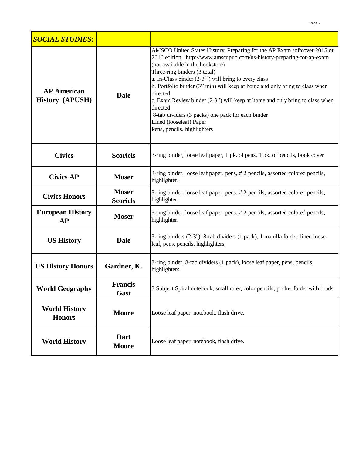| <b>SOCIAL STUDIES:</b>                       |                                 |                                                                                                                                                                                                                                                                                                                                                                                                                                                                                                                                                                                       |
|----------------------------------------------|---------------------------------|---------------------------------------------------------------------------------------------------------------------------------------------------------------------------------------------------------------------------------------------------------------------------------------------------------------------------------------------------------------------------------------------------------------------------------------------------------------------------------------------------------------------------------------------------------------------------------------|
| <b>AP</b> American<br><b>History (APUSH)</b> | <b>Dale</b>                     | AMSCO United States History: Preparing for the AP Exam softcover 2015 or<br>2016 edition http://www.amscopub.com/us-history-preparing-for-ap-exam<br>(not available in the bookstore)<br>Three-ring binders (3 total)<br>a. In-Class binder $(2-3)$ will bring to every class<br>b. Portfolio binder (3" min) will keep at home and only bring to class when<br>directed<br>c. Exam Review binder $(2-3)$ " will keep at home and only bring to class when<br>directed<br>8-tab dividers (3 packs) one pack for each binder<br>Lined (looseleaf) Paper<br>Pens, pencils, highlighters |
| <b>Civics</b>                                | <b>Scoriels</b>                 | 3-ring binder, loose leaf paper, 1 pk. of pens, 1 pk. of pencils, book cover                                                                                                                                                                                                                                                                                                                                                                                                                                                                                                          |
| <b>Civics AP</b>                             | <b>Moser</b>                    | 3-ring binder, loose leaf paper, pens, #2 pencils, assorted colored pencils,<br>highlighter.                                                                                                                                                                                                                                                                                                                                                                                                                                                                                          |
| <b>Civics Honors</b>                         | <b>Moser</b><br><b>Scoriels</b> | 3-ring binder, loose leaf paper, pens, #2 pencils, assorted colored pencils,<br>highlighter.                                                                                                                                                                                                                                                                                                                                                                                                                                                                                          |
| <b>European History</b><br><b>AP</b>         | <b>Moser</b>                    | 3-ring binder, loose leaf paper, pens, # 2 pencils, assorted colored pencils,<br>highlighter.                                                                                                                                                                                                                                                                                                                                                                                                                                                                                         |
| <b>US History</b>                            | <b>Dale</b>                     | 3-ring binders (2-3"), 8-tab dividers (1 pack), 1 manilla folder, lined loose-<br>leaf, pens, pencils, highlighters                                                                                                                                                                                                                                                                                                                                                                                                                                                                   |
| <b>US History Honors</b>                     | Gardner, K.                     | 3-ring binder, 8-tab dividers (1 pack), loose leaf paper, pens, pencils,<br>highlighters.                                                                                                                                                                                                                                                                                                                                                                                                                                                                                             |
| <b>World Geography</b>                       | <b>Francis</b><br>Gast          | 3 Subject Spiral notebook, small ruler, color pencils, pocket folder with brads.                                                                                                                                                                                                                                                                                                                                                                                                                                                                                                      |
| <b>World History</b><br><b>Honors</b>        | <b>Moore</b>                    | Loose leaf paper, notebook, flash drive.                                                                                                                                                                                                                                                                                                                                                                                                                                                                                                                                              |
| <b>World History</b>                         | Dart<br><b>Moore</b>            | Loose leaf paper, notebook, flash drive.                                                                                                                                                                                                                                                                                                                                                                                                                                                                                                                                              |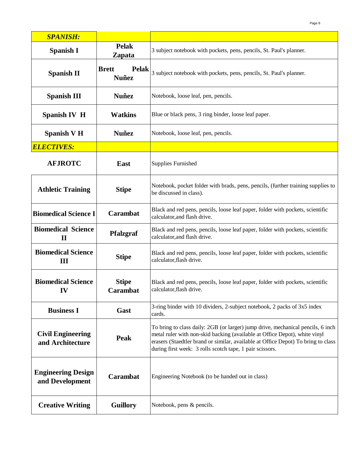| <b>SPANISH:</b>                              |                                              |                                                                                                                                                                                                                                                                                                                |
|----------------------------------------------|----------------------------------------------|----------------------------------------------------------------------------------------------------------------------------------------------------------------------------------------------------------------------------------------------------------------------------------------------------------------|
| <b>Spanish I</b>                             | <b>Pelak</b><br><b>Zapata</b>                | 3 subject notebook with pockets, pens, pencils, St. Paul's planner.                                                                                                                                                                                                                                            |
| <b>Spanish II</b>                            | <b>Pelak</b><br><b>Brett</b><br><b>Nuñez</b> | 3 subject notebook with pockets, pens, pencils, St. Paul's planner.                                                                                                                                                                                                                                            |
| <b>Spanish III</b>                           | <b>Nuñez</b>                                 | Notebook, loose leaf, pen, pencils.                                                                                                                                                                                                                                                                            |
| <b>Spanish IV H</b>                          | <b>Watkins</b>                               | Blue or black pens, 3 ring binder, loose leaf paper.                                                                                                                                                                                                                                                           |
| <b>Spanish V H</b>                           | <b>Nuñez</b>                                 | Notebook, loose leaf, pen, pencils.                                                                                                                                                                                                                                                                            |
| <b>ELECTIVES:</b>                            |                                              |                                                                                                                                                                                                                                                                                                                |
| <b>AFJROTC</b>                               | <b>East</b>                                  | <b>Supplies Furnished</b>                                                                                                                                                                                                                                                                                      |
| <b>Athletic Training</b>                     | <b>Stipe</b>                                 | Notebook, pocket folder with brads, pens, pencils, (further training supplies to<br>be discussed in class).                                                                                                                                                                                                    |
| <b>Biomedical Science I</b>                  | Carambat                                     | Black and red pens, pencils, loose leaf paper, folder with pockets, scientific<br>calculator, and flash drive.                                                                                                                                                                                                 |
| <b>Biomedical Science</b><br>$\mathbf H$     | <b>Pfalzgraf</b>                             | Black and red pens, pencils, loose leaf paper, folder with pockets, scientific<br>calculator, and flash drive.                                                                                                                                                                                                 |
| <b>Biomedical Science</b><br>Ш               | <b>Stipe</b>                                 | Black and red pens, pencils, loose leaf paper, folder with pockets, scientific<br>calculator, flash drive.                                                                                                                                                                                                     |
| <b>Biomedical Science</b><br>IV              | <b>Stipe</b><br><b>Carambat</b>              | Black and red pens, pencils, loose leaf paper, folder with pockets, scientific<br>calculator, flash drive.                                                                                                                                                                                                     |
| <b>Business I</b>                            | Gast                                         | 3-ring binder with 10 dividers, 2-subject notebook, 2 packs of 3x5 index<br>cards.                                                                                                                                                                                                                             |
| <b>Civil Engineering</b><br>and Architecture | Peak                                         | To bring to class daily: 2GB (or larger) jump drive, mechanical pencils, 6 inch<br>metal ruler with non-skid backing (available at Office Depot), white vinyl<br>erasers (Staedtler brand or similar, available at Office Depot) To bring to class<br>during first week: 3 rolls scotch tape, 1 pair scissors. |
| <b>Engineering Design</b><br>and Development | Carambat                                     | Engineering Notebook (to be handed out in class)                                                                                                                                                                                                                                                               |
| <b>Creative Writing</b>                      | <b>Guillory</b>                              | Notebook, pens & pencils.                                                                                                                                                                                                                                                                                      |